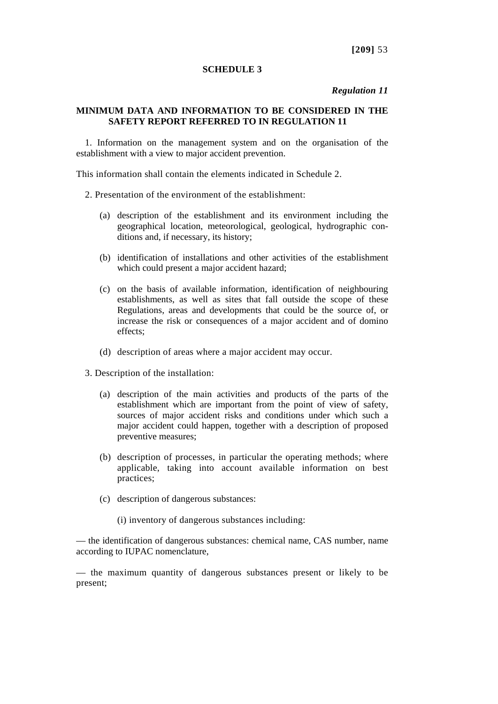## **SCHEDULE 3**

## *Regulation 11*

## **MINIMUM DATA AND INFORMATION TO BE CONSIDERED IN THE SAFETY REPORT REFERRED TO IN REGULATION 11**

1. Information on the management system and on the organisation of the establishment with a view to major accident prevention.

This information shall contain the elements indicated in Schedule 2.

- 2. Presentation of the environment of the establishment:
	- (a) description of the establishment and its environment including the geographical location, meteorological, geological, hydrographic conditions and, if necessary, its history;
	- (b) identification of installations and other activities of the establishment which could present a major accident hazard;
	- (c) on the basis of available information, identification of neighbouring establishments, as well as sites that fall outside the scope of these Regulations, areas and developments that could be the source of, or increase the risk or consequences of a major accident and of domino effects;
	- (d) description of areas where a major accident may occur.
- 3. Description of the installation:
	- (a) description of the main activities and products of the parts of the establishment which are important from the point of view of safety, sources of major accident risks and conditions under which such a major accident could happen, together with a description of proposed preventive measures;
	- (b) description of processes, in particular the operating methods; where applicable, taking into account available information on best practices;
	- (c) description of dangerous substances:
		- (i) inventory of dangerous substances including:

— the identification of dangerous substances: chemical name, CAS number, name according to IUPAC nomenclature,

— the maximum quantity of dangerous substances present or likely to be present;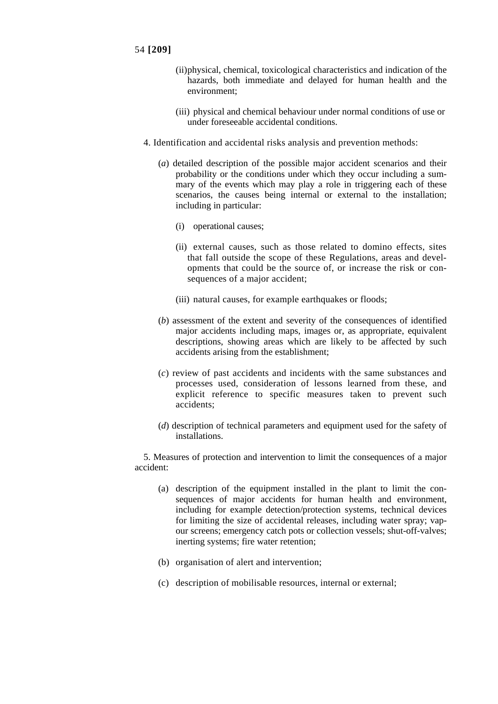## 54 **[209]**

- (ii)physical, chemical, toxicological characteristics and indication of the hazards, both immediate and delayed for human health and the environment;
- (iii) physical and chemical behaviour under normal conditions of use or under foreseeable accidental conditions.
- 4. Identification and accidental risks analysis and prevention methods:
	- (*a*) detailed description of the possible major accident scenarios and their probability or the conditions under which they occur including a summary of the events which may play a role in triggering each of these scenarios, the causes being internal or external to the installation; including in particular:
		- (i) operational causes;
		- (ii) external causes, such as those related to domino effects, sites that fall outside the scope of these Regulations, areas and developments that could be the source of, or increase the risk or consequences of a major accident;
		- (iii) natural causes, for example earthquakes or floods;
	- (*b*) assessment of the extent and severity of the consequences of identified major accidents including maps, images or, as appropriate, equivalent descriptions, showing areas which are likely to be affected by such accidents arising from the establishment;
	- (*c*) review of past accidents and incidents with the same substances and processes used, consideration of lessons learned from these, and explicit reference to specific measures taken to prevent such accidents;
	- (*d*) description of technical parameters and equipment used for the safety of installations.

5. Measures of protection and intervention to limit the consequences of a major accident:

- (a) description of the equipment installed in the plant to limit the consequences of major accidents for human health and environment, including for example detection/protection systems, technical devices for limiting the size of accidental releases, including water spray; vapour screens; emergency catch pots or collection vessels; shut-off-valves; inerting systems; fire water retention;
- (b) organisation of alert and intervention;
- (c) description of mobilisable resources, internal or external;